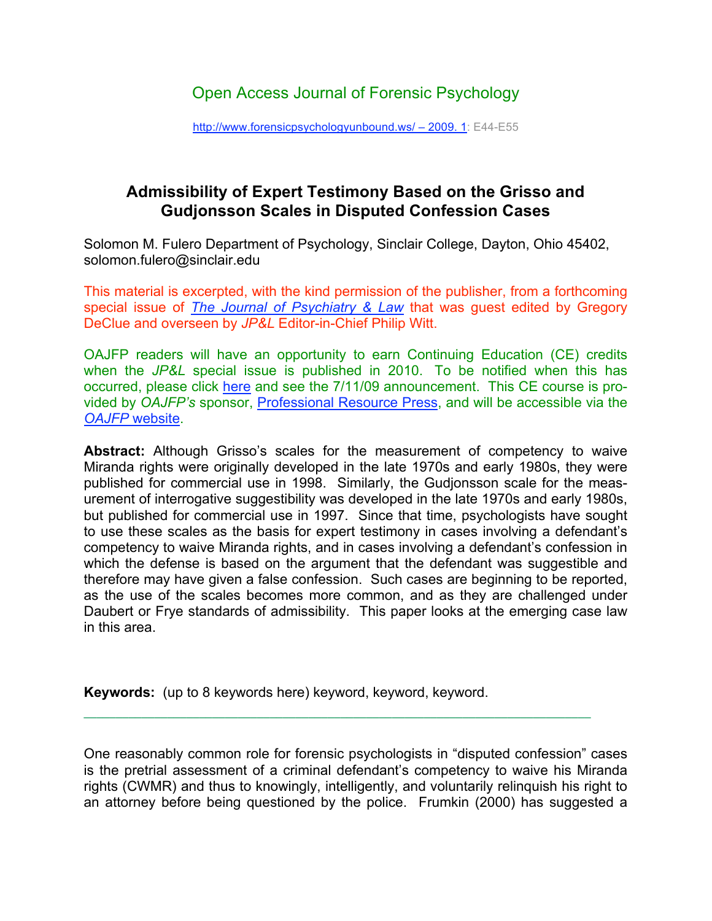# Open Access Journal of Forensic Psychology

http://www.forensicpsychologyunbound.ws/ – 2009. 1: E44-E55

## **Admissibility of Expert Testimony Based on the Grisso and Gudjonsson Scales in Disputed Confession Cases**

Solomon M. Fulero Department of Psychology, Sinclair College, Dayton, Ohio 45402, solomon.fulero@sinclair.edu

This material is excerpted, with the kind permission of the publisher, from a forthcoming special issue of *The Journal of Psychiatry & Law* that was guest edited by Gregory DeClue and overseen by *JP&L* Editor-in-Chief Philip Witt.

OAJFP readers will have an opportunity to earn Continuing Education (CE) credits when the *JP&L* special issue is published in 2010. To be notified when this has occurred, please click here and see the 7/11/09 announcement. This CE course is provided by *OAJFP's* sponsor, Professional Resource Press, and will be accessible via the *OAJFP* website.

**Abstract:** Although Grisso's scales for the measurement of competency to waive Miranda rights were originally developed in the late 1970s and early 1980s, they were published for commercial use in 1998. Similarly, the Gudjonsson scale for the measurement of interrogative suggestibility was developed in the late 1970s and early 1980s, but published for commercial use in 1997. Since that time, psychologists have sought to use these scales as the basis for expert testimony in cases involving a defendant's competency to waive Miranda rights, and in cases involving a defendant's confession in which the defense is based on the argument that the defendant was suggestible and therefore may have given a false confession. Such cases are beginning to be reported, as the use of the scales becomes more common, and as they are challenged under Daubert or Frye standards of admissibility. This paper looks at the emerging case law in this area.

**Keywords:** (up to 8 keywords here) keyword, keyword, keyword.

One reasonably common role for forensic psychologists in "disputed confession" cases is the pretrial assessment of a criminal defendant's competency to waive his Miranda rights (CWMR) and thus to knowingly, intelligently, and voluntarily relinquish his right to an attorney before being questioned by the police. Frumkin (2000) has suggested a

**¯¯¯¯¯¯¯¯¯¯¯¯¯¯¯¯¯¯¯¯¯¯¯¯¯¯¯¯¯¯¯¯¯¯¯¯¯¯¯¯¯¯¯¯¯¯¯¯¯¯¯¯¯¯¯¯¯¯¯¯¯¯¯¯¯¯¯¯¯¯¯¯¯¯¯¯¯¯¯**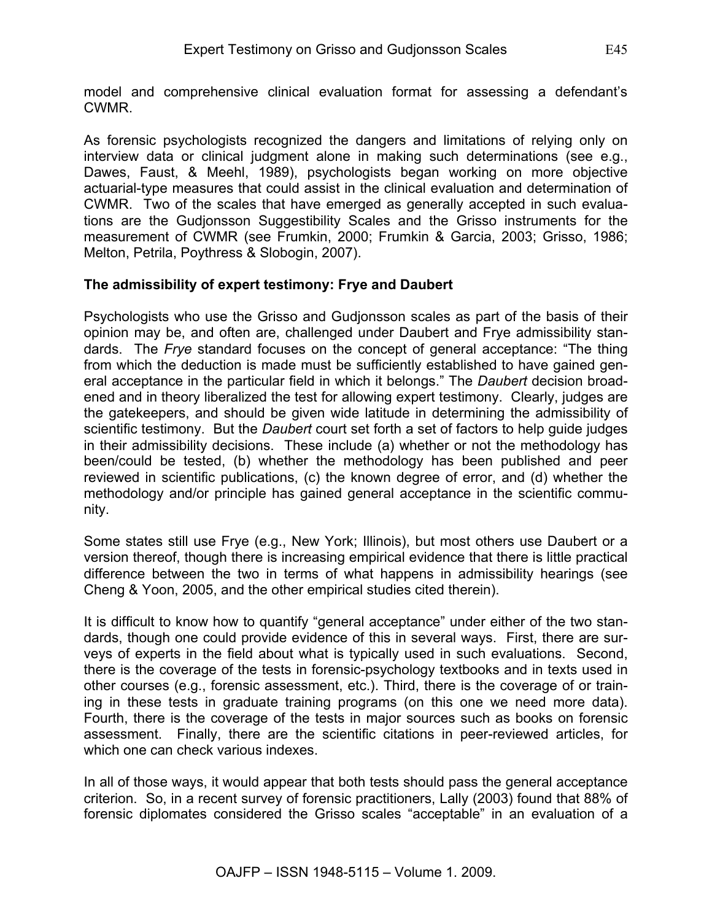model and comprehensive clinical evaluation format for assessing a defendant's CWMR.

As forensic psychologists recognized the dangers and limitations of relying only on interview data or clinical judgment alone in making such determinations (see e.g., Dawes, Faust, & Meehl, 1989), psychologists began working on more objective actuarial-type measures that could assist in the clinical evaluation and determination of CWMR. Two of the scales that have emerged as generally accepted in such evaluations are the Gudjonsson Suggestibility Scales and the Grisso instruments for the measurement of CWMR (see Frumkin, 2000; Frumkin & Garcia, 2003; Grisso, 1986; Melton, Petrila, Poythress & Slobogin, 2007).

#### **The admissibility of expert testimony: Frye and Daubert**

Psychologists who use the Grisso and Gudjonsson scales as part of the basis of their opinion may be, and often are, challenged under Daubert and Frye admissibility standards. The *Frye* standard focuses on the concept of general acceptance: "The thing from which the deduction is made must be sufficiently established to have gained general acceptance in the particular field in which it belongs." The *Daubert* decision broadened and in theory liberalized the test for allowing expert testimony. Clearly, judges are the gatekeepers, and should be given wide latitude in determining the admissibility of scientific testimony. But the *Daubert* court set forth a set of factors to help guide judges in their admissibility decisions. These include (a) whether or not the methodology has been/could be tested, (b) whether the methodology has been published and peer reviewed in scientific publications, (c) the known degree of error, and (d) whether the methodology and/or principle has gained general acceptance in the scientific community.

Some states still use Frye (e.g., New York; Illinois), but most others use Daubert or a version thereof, though there is increasing empirical evidence that there is little practical difference between the two in terms of what happens in admissibility hearings (see Cheng & Yoon, 2005, and the other empirical studies cited therein).

It is difficult to know how to quantify "general acceptance" under either of the two standards, though one could provide evidence of this in several ways. First, there are surveys of experts in the field about what is typically used in such evaluations. Second, there is the coverage of the tests in forensic-psychology textbooks and in texts used in other courses (e.g., forensic assessment, etc.). Third, there is the coverage of or training in these tests in graduate training programs (on this one we need more data). Fourth, there is the coverage of the tests in major sources such as books on forensic assessment. Finally, there are the scientific citations in peer-reviewed articles, for which one can check various indexes.

In all of those ways, it would appear that both tests should pass the general acceptance criterion. So, in a recent survey of forensic practitioners, Lally (2003) found that 88% of forensic diplomates considered the Grisso scales "acceptable" in an evaluation of a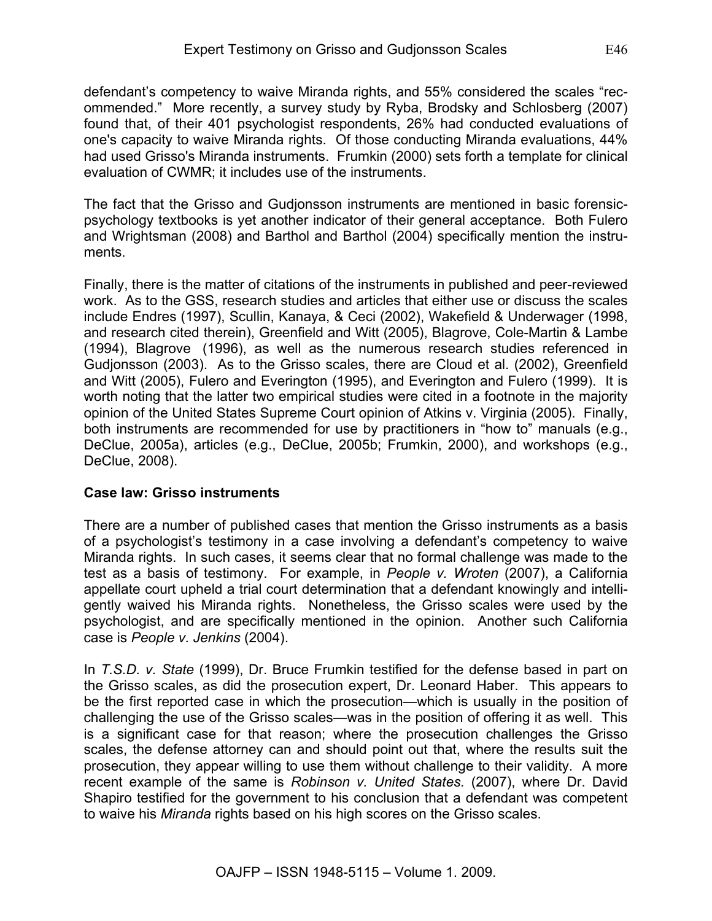defendant's competency to waive Miranda rights, and 55% considered the scales "recommended." More recently, a survey study by Ryba, Brodsky and Schlosberg (2007) found that, of their 401 psychologist respondents, 26% had conducted evaluations of one's capacity to waive Miranda rights. Of those conducting Miranda evaluations, 44% had used Grisso's Miranda instruments. Frumkin (2000) sets forth a template for clinical evaluation of CWMR; it includes use of the instruments.

The fact that the Grisso and Gudjonsson instruments are mentioned in basic forensicpsychology textbooks is yet another indicator of their general acceptance. Both Fulero and Wrightsman (2008) and Barthol and Barthol (2004) specifically mention the instruments.

Finally, there is the matter of citations of the instruments in published and peer-reviewed work. As to the GSS, research studies and articles that either use or discuss the scales include Endres (1997), Scullin, Kanaya, & Ceci (2002), Wakefield & Underwager (1998, and research cited therein), Greenfield and Witt (2005), Blagrove, Cole-Martin & Lambe (1994), Blagrove (1996), as well as the numerous research studies referenced in Gudjonsson (2003). As to the Grisso scales, there are Cloud et al. (2002), Greenfield and Witt (2005), Fulero and Everington (1995), and Everington and Fulero (1999). It is worth noting that the latter two empirical studies were cited in a footnote in the majority opinion of the United States Supreme Court opinion of Atkins v. Virginia (2005). Finally, both instruments are recommended for use by practitioners in "how to" manuals (e.g., DeClue, 2005a), articles (e.g., DeClue, 2005b; Frumkin, 2000), and workshops (e.g., DeClue, 2008).

### **Case law: Grisso instruments**

There are a number of published cases that mention the Grisso instruments as a basis of a psychologist's testimony in a case involving a defendant's competency to waive Miranda rights. In such cases, it seems clear that no formal challenge was made to the test as a basis of testimony. For example, in *People v. Wroten* (2007), a California appellate court upheld a trial court determination that a defendant knowingly and intelligently waived his Miranda rights. Nonetheless, the Grisso scales were used by the psychologist, and are specifically mentioned in the opinion. Another such California case is *People v. Jenkins* (2004).

In *T.S.D. v. State* (1999), Dr. Bruce Frumkin testified for the defense based in part on the Grisso scales, as did the prosecution expert, Dr. Leonard Haber. This appears to be the first reported case in which the prosecution—which is usually in the position of challenging the use of the Grisso scales—was in the position of offering it as well. This is a significant case for that reason; where the prosecution challenges the Grisso scales, the defense attorney can and should point out that, where the results suit the prosecution, they appear willing to use them without challenge to their validity. A more recent example of the same is *Robinson v. United States.* (2007), where Dr. David Shapiro testified for the government to his conclusion that a defendant was competent to waive his *Miranda* rights based on his high scores on the Grisso scales.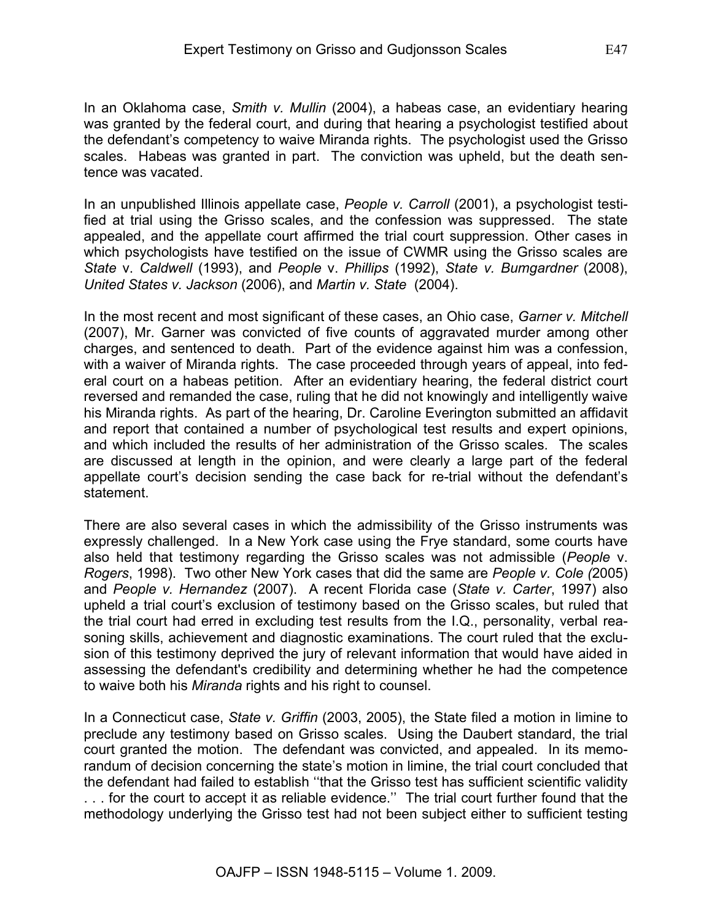In an Oklahoma case, *Smith v. Mullin* (2004), a habeas case, an evidentiary hearing was granted by the federal court, and during that hearing a psychologist testified about the defendant's competency to waive Miranda rights. The psychologist used the Grisso scales. Habeas was granted in part. The conviction was upheld, but the death sentence was vacated.

In an unpublished Illinois appellate case, *People v. Carroll* (2001), a psychologist testified at trial using the Grisso scales, and the confession was suppressed. The state appealed, and the appellate court affirmed the trial court suppression. Other cases in which psychologists have testified on the issue of CWMR using the Grisso scales are *State* v. *Caldwell* (1993), and *People* v. *Phillips* (1992), *State v. Bumgardner* (2008), *United States v. Jackson* (2006), and *Martin v. State* (2004).

In the most recent and most significant of these cases, an Ohio case, *Garner v. Mitchell*  (2007), Mr. Garner was convicted of five counts of aggravated murder among other charges, and sentenced to death. Part of the evidence against him was a confession, with a waiver of Miranda rights. The case proceeded through years of appeal, into federal court on a habeas petition. After an evidentiary hearing, the federal district court reversed and remanded the case, ruling that he did not knowingly and intelligently waive his Miranda rights. As part of the hearing, Dr. Caroline Everington submitted an affidavit and report that contained a number of psychological test results and expert opinions, and which included the results of her administration of the Grisso scales. The scales are discussed at length in the opinion, and were clearly a large part of the federal appellate court's decision sending the case back for re-trial without the defendant's statement.

There are also several cases in which the admissibility of the Grisso instruments was expressly challenged. In a New York case using the Frye standard, some courts have also held that testimony regarding the Grisso scales was not admissible (*People* v. *Rogers*, 1998). Two other New York cases that did the same are *People v. Cole (*2005) and *People v. Hernandez* (2007). A recent Florida case (*State v. Carter*, 1997) also upheld a trial court's exclusion of testimony based on the Grisso scales, but ruled that the trial court had erred in excluding test results from the I.Q., personality, verbal reasoning skills, achievement and diagnostic examinations. The court ruled that the exclusion of this testimony deprived the jury of relevant information that would have aided in assessing the defendant's credibility and determining whether he had the competence to waive both his *Miranda* rights and his right to counsel.

In a Connecticut case, *State v. Griffin* (2003, 2005), the State filed a motion in limine to preclude any testimony based on Grisso scales. Using the Daubert standard, the trial court granted the motion. The defendant was convicted, and appealed. In its memorandum of decision concerning the state's motion in limine, the trial court concluded that the defendant had failed to establish ''that the Grisso test has sufficient scientific validity . . . for the court to accept it as reliable evidence.'' The trial court further found that the methodology underlying the Grisso test had not been subject either to sufficient testing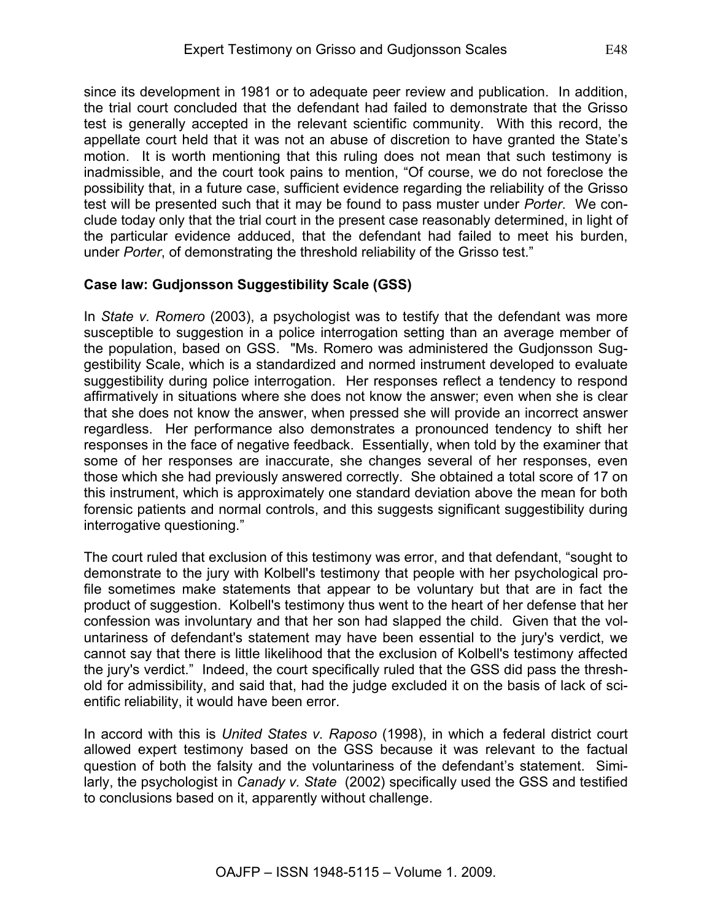since its development in 1981 or to adequate peer review and publication. In addition, the trial court concluded that the defendant had failed to demonstrate that the Grisso test is generally accepted in the relevant scientific community. With this record, the appellate court held that it was not an abuse of discretion to have granted the State's motion. It is worth mentioning that this ruling does not mean that such testimony is inadmissible, and the court took pains to mention, "Of course, we do not foreclose the possibility that, in a future case, sufficient evidence regarding the reliability of the Grisso test will be presented such that it may be found to pass muster under *Porter*. We conclude today only that the trial court in the present case reasonably determined, in light of the particular evidence adduced, that the defendant had failed to meet his burden, under *Porter*, of demonstrating the threshold reliability of the Grisso test."

### **Case law: Gudjonsson Suggestibility Scale (GSS)**

In *State v. Romero* (2003), a psychologist was to testify that the defendant was more susceptible to suggestion in a police interrogation setting than an average member of the population, based on GSS. "Ms. Romero was administered the Gudjonsson Suggestibility Scale, which is a standardized and normed instrument developed to evaluate suggestibility during police interrogation. Her responses reflect a tendency to respond affirmatively in situations where she does not know the answer; even when she is clear that she does not know the answer, when pressed she will provide an incorrect answer regardless. Her performance also demonstrates a pronounced tendency to shift her responses in the face of negative feedback. Essentially, when told by the examiner that some of her responses are inaccurate, she changes several of her responses, even those which she had previously answered correctly. She obtained a total score of 17 on this instrument, which is approximately one standard deviation above the mean for both forensic patients and normal controls, and this suggests significant suggestibility during interrogative questioning."

The court ruled that exclusion of this testimony was error, and that defendant, "sought to demonstrate to the jury with Kolbell's testimony that people with her psychological profile sometimes make statements that appear to be voluntary but that are in fact the product of suggestion. Kolbell's testimony thus went to the heart of her defense that her confession was involuntary and that her son had slapped the child. Given that the voluntariness of defendant's statement may have been essential to the jury's verdict, we cannot say that there is little likelihood that the exclusion of Kolbell's testimony affected the jury's verdict." Indeed, the court specifically ruled that the GSS did pass the threshold for admissibility, and said that, had the judge excluded it on the basis of lack of scientific reliability, it would have been error.

In accord with this is *United States v. Raposo* (1998), in which a federal district court allowed expert testimony based on the GSS because it was relevant to the factual question of both the falsity and the voluntariness of the defendant's statement. Similarly, the psychologist in *Canady v. State* (2002) specifically used the GSS and testified to conclusions based on it, apparently without challenge.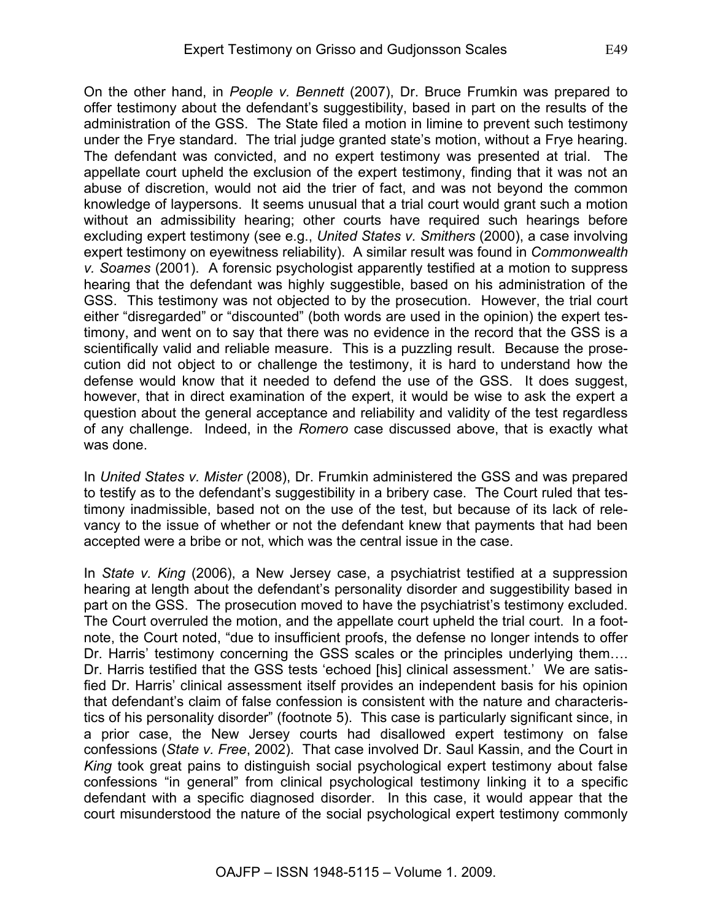On the other hand, in *People v. Bennett* (2007), Dr. Bruce Frumkin was prepared to offer testimony about the defendant's suggestibility, based in part on the results of the administration of the GSS. The State filed a motion in limine to prevent such testimony under the Frye standard. The trial judge granted state's motion, without a Frye hearing. The defendant was convicted, and no expert testimony was presented at trial. The appellate court upheld the exclusion of the expert testimony, finding that it was not an abuse of discretion, would not aid the trier of fact, and was not beyond the common knowledge of laypersons. It seems unusual that a trial court would grant such a motion without an admissibility hearing; other courts have required such hearings before excluding expert testimony (see e.g., *United States v. Smithers* (2000), a case involving expert testimony on eyewitness reliability). A similar result was found in *Commonwealth v. Soames* (2001). A forensic psychologist apparently testified at a motion to suppress hearing that the defendant was highly suggestible, based on his administration of the GSS. This testimony was not objected to by the prosecution. However, the trial court either "disregarded" or "discounted" (both words are used in the opinion) the expert testimony, and went on to say that there was no evidence in the record that the GSS is a scientifically valid and reliable measure. This is a puzzling result. Because the prosecution did not object to or challenge the testimony, it is hard to understand how the defense would know that it needed to defend the use of the GSS. It does suggest, however, that in direct examination of the expert, it would be wise to ask the expert a question about the general acceptance and reliability and validity of the test regardless of any challenge. Indeed, in the *Romero* case discussed above, that is exactly what was done.

In *United States v. Mister* (2008), Dr. Frumkin administered the GSS and was prepared to testify as to the defendant's suggestibility in a bribery case. The Court ruled that testimony inadmissible, based not on the use of the test, but because of its lack of relevancy to the issue of whether or not the defendant knew that payments that had been accepted were a bribe or not, which was the central issue in the case.

In *State v. King* (2006), a New Jersey case, a psychiatrist testified at a suppression hearing at length about the defendant's personality disorder and suggestibility based in part on the GSS. The prosecution moved to have the psychiatrist's testimony excluded. The Court overruled the motion, and the appellate court upheld the trial court. In a footnote, the Court noted, "due to insufficient proofs, the defense no longer intends to offer Dr. Harris' testimony concerning the GSS scales or the principles underlying them.... Dr. Harris testified that the GSS tests 'echoed [his] clinical assessment.' We are satisfied Dr. Harris' clinical assessment itself provides an independent basis for his opinion that defendant's claim of false confession is consistent with the nature and characteristics of his personality disorder" (footnote 5). This case is particularly significant since, in a prior case, the New Jersey courts had disallowed expert testimony on false confessions (*State v. Free*, 2002). That case involved Dr. Saul Kassin, and the Court in *King* took great pains to distinguish social psychological expert testimony about false confessions "in general" from clinical psychological testimony linking it to a specific defendant with a specific diagnosed disorder. In this case, it would appear that the court misunderstood the nature of the social psychological expert testimony commonly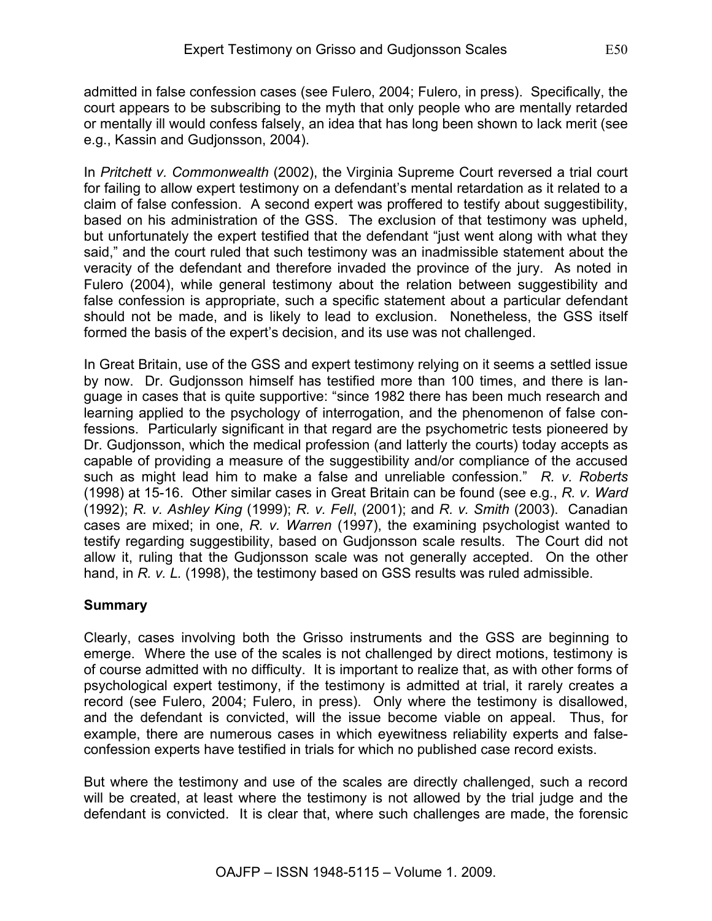admitted in false confession cases (see Fulero, 2004; Fulero, in press). Specifically, the court appears to be subscribing to the myth that only people who are mentally retarded or mentally ill would confess falsely, an idea that has long been shown to lack merit (see e.g., Kassin and Gudjonsson, 2004).

In *Pritchett v. Commonwealth* (2002), the Virginia Supreme Court reversed a trial court for failing to allow expert testimony on a defendant's mental retardation as it related to a claim of false confession. A second expert was proffered to testify about suggestibility, based on his administration of the GSS. The exclusion of that testimony was upheld, but unfortunately the expert testified that the defendant "just went along with what they said," and the court ruled that such testimony was an inadmissible statement about the veracity of the defendant and therefore invaded the province of the jury. As noted in Fulero (2004), while general testimony about the relation between suggestibility and false confession is appropriate, such a specific statement about a particular defendant should not be made, and is likely to lead to exclusion. Nonetheless, the GSS itself formed the basis of the expert's decision, and its use was not challenged.

In Great Britain, use of the GSS and expert testimony relying on it seems a settled issue by now. Dr. Gudjonsson himself has testified more than 100 times, and there is language in cases that is quite supportive: "since 1982 there has been much research and learning applied to the psychology of interrogation, and the phenomenon of false confessions. Particularly significant in that regard are the psychometric tests pioneered by Dr. Gudjonsson, which the medical profession (and latterly the courts) today accepts as capable of providing a measure of the suggestibility and/or compliance of the accused such as might lead him to make a false and unreliable confession." *R. v. Roberts* (1998) at 15-16. Other similar cases in Great Britain can be found (see e.g., *R. v. Ward*  (1992); *R. v. Ashley King* (1999); *R. v. Fell*, (2001); and *R. v. Smith* (2003). Canadian cases are mixed; in one, *R. v. Warren* (1997), the examining psychologist wanted to testify regarding suggestibility, based on Gudjonsson scale results. The Court did not allow it, ruling that the Gudjonsson scale was not generally accepted. On the other hand, in *R. v. L.* (1998), the testimony based on GSS results was ruled admissible.

### **Summary**

Clearly, cases involving both the Grisso instruments and the GSS are beginning to emerge. Where the use of the scales is not challenged by direct motions, testimony is of course admitted with no difficulty. It is important to realize that, as with other forms of psychological expert testimony, if the testimony is admitted at trial, it rarely creates a record (see Fulero, 2004; Fulero, in press). Only where the testimony is disallowed, and the defendant is convicted, will the issue become viable on appeal. Thus, for example, there are numerous cases in which eyewitness reliability experts and falseconfession experts have testified in trials for which no published case record exists.

But where the testimony and use of the scales are directly challenged, such a record will be created, at least where the testimony is not allowed by the trial judge and the defendant is convicted. It is clear that, where such challenges are made, the forensic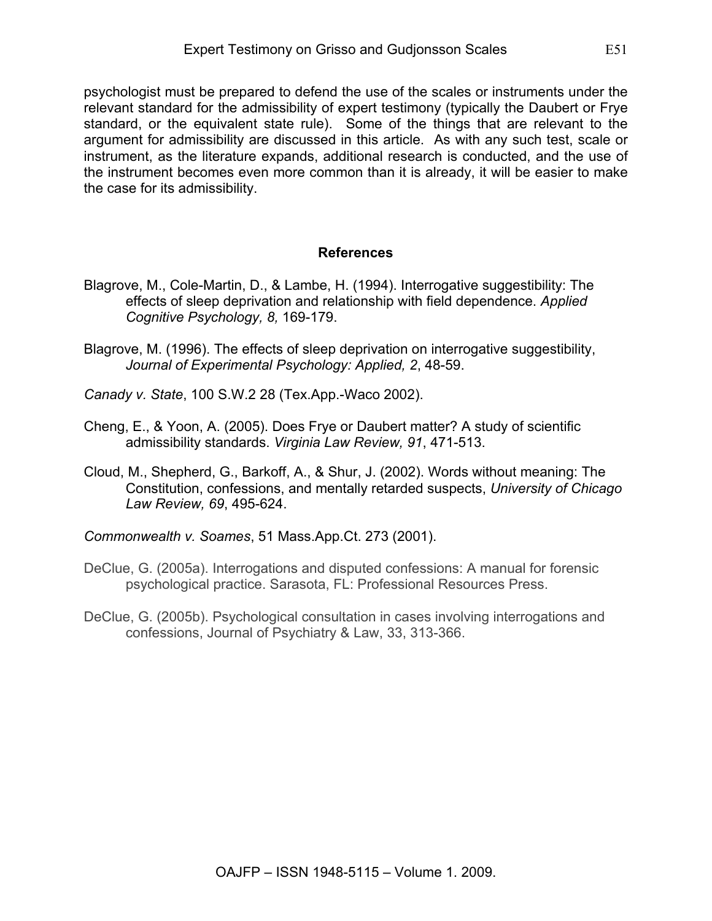psychologist must be prepared to defend the use of the scales or instruments under the relevant standard for the admissibility of expert testimony (typically the Daubert or Frye standard, or the equivalent state rule). Some of the things that are relevant to the argument for admissibility are discussed in this article. As with any such test, scale or instrument, as the literature expands, additional research is conducted, and the use of the instrument becomes even more common than it is already, it will be easier to make the case for its admissibility.

#### **References**

- Blagrove, M., Cole-Martin, D., & Lambe, H. (1994). Interrogative suggestibility: The effects of sleep deprivation and relationship with field dependence. *Applied Cognitive Psychology, 8,* 169-179.
- Blagrove, M. (1996). The effects of sleep deprivation on interrogative suggestibility, *Journal of Experimental Psychology: Applied, 2*, 48-59.
- *Canady v. State*, 100 S.W.2 28 (Tex.App.-Waco 2002).
- Cheng, E., & Yoon, A. (2005). Does Frye or Daubert matter? A study of scientific admissibility standards. *Virginia Law Review, 91*, 471-513.
- Cloud, M., Shepherd, G., Barkoff, A., & Shur, J. (2002). Words without meaning: The Constitution, confessions, and mentally retarded suspects, *University of Chicago Law Review, 69*, 495-624.

*Commonwealth v. Soames*, 51 Mass.App.Ct. 273 (2001).

- DeClue, G. (2005a). Interrogations and disputed confessions: A manual for forensic psychological practice. Sarasota, FL: Professional Resources Press.
- DeClue, G. (2005b). Psychological consultation in cases involving interrogations and confessions, Journal of Psychiatry & Law, 33, 313-366.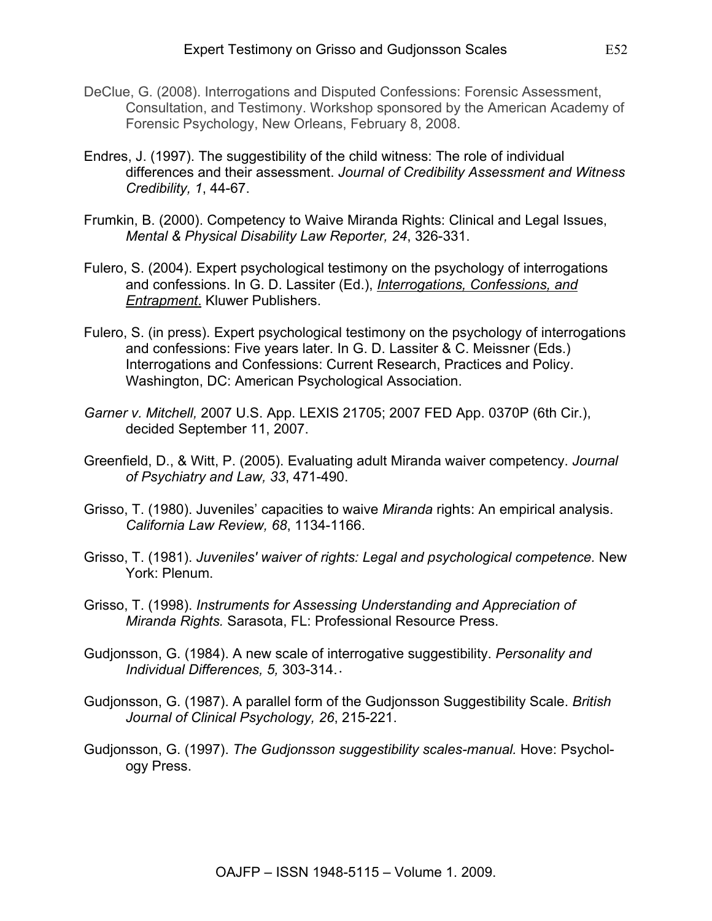- DeClue, G. (2008). Interrogations and Disputed Confessions: Forensic Assessment, Consultation, and Testimony. Workshop sponsored by the American Academy of Forensic Psychology, New Orleans, February 8, 2008.
- Endres, J. (1997). The suggestibility of the child witness: The role of individual differences and their assessment. *Journal of Credibility Assessment and Witness Credibility, 1*, 44-67.
- Frumkin, B. (2000). Competency to Waive Miranda Rights: Clinical and Legal Issues, *Mental & Physical Disability Law Reporter, 24*, 326-331.
- Fulero, S. (2004). Expert psychological testimony on the psychology of interrogations and confessions. In G. D. Lassiter (Ed.), *Interrogations, Confessions, and Entrapment*. Kluwer Publishers.
- Fulero, S. (in press). Expert psychological testimony on the psychology of interrogations and confessions: Five years later. In G. D. Lassiter & C. Meissner (Eds.) Interrogations and Confessions: Current Research, Practices and Policy. Washington, DC: American Psychological Association.
- *Garner v. Mitchell,* 2007 U.S. App. LEXIS 21705; 2007 FED App. 0370P (6th Cir.), decided September 11, 2007.
- Greenfield, D., & Witt, P. (2005). Evaluating adult Miranda waiver competency. *Journal of Psychiatry and Law, 33*, 471-490.
- Grisso, T. (1980). Juveniles' capacities to waive *Miranda* rights: An empirical analysis. *California Law Review, 68*, 1134-1166.
- Grisso, T. (1981). *Juveniles' waiver of rights: Legal and psychological competence.* New York: Plenum.
- Grisso, T. (1998). *Instruments for Assessing Understanding and Appreciation of Miranda Rights.* Sarasota, FL: Professional Resource Press.
- Gudjonsson, G. (1984). A new scale of interrogative suggestibility. *Personality and Individual Differences, 5,* 303-314. •
- Gudjonsson, G. (1987). A parallel form of the Gudjonsson Suggestibility Scale. *British Journal of Clinical Psychology, 26*, 215-221.
- Gudjonsson, G. (1997). *The Gudjonsson suggestibility scales-manual.* Hove: Psychology Press.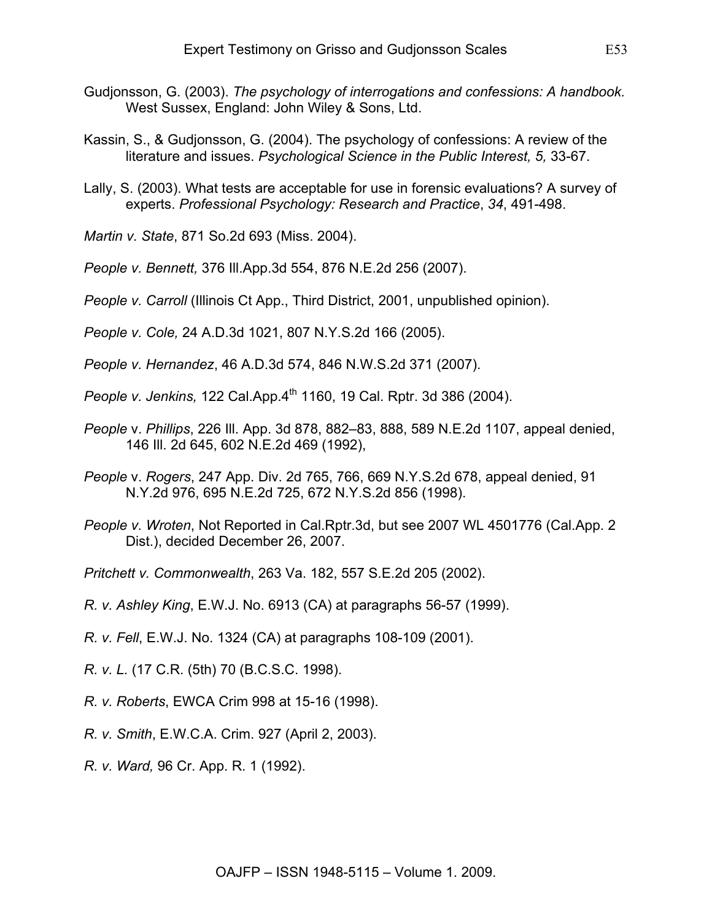- Gudjonsson, G. (2003). *The psychology of interrogations and confessions: A handbook.*  West Sussex, England: John Wiley & Sons, Ltd.
- Kassin, S., & Gudjonsson, G. (2004). The psychology of confessions: A review of the literature and issues. *Psychological Science in the Public Interest, 5,* 33-67.
- Lally, S. (2003). What tests are acceptable for use in forensic evaluations? A survey of experts. *Professional Psychology: Research and Practice*, *34*, 491-498.
- *Martin v. State*, 871 So.2d 693 (Miss. 2004).
- *People v. Bennett,* 376 Ill.App.3d 554, 876 N.E.2d 256 (2007).
- *People v. Carroll* (Illinois Ct App., Third District, 2001, unpublished opinion).
- *People v. Cole,* 24 A.D.3d 1021, 807 N.Y.S.2d 166 (2005).
- *People v. Hernandez*, 46 A.D.3d 574, 846 N.W.S.2d 371 (2007).
- *People v. Jenkins,* 122 Cal.App.4<sup>th</sup> 1160, 19 Cal. Rptr. 3d 386 (2004).
- *People* v. *Phillips*, 226 Ill. App. 3d 878, 882–83, 888, 589 N.E.2d 1107, appeal denied, 146 Ill. 2d 645, 602 N.E.2d 469 (1992),
- *People* v. *Rogers*, 247 App. Div. 2d 765, 766, 669 N.Y.S.2d 678, appeal denied, 91 N.Y.2d 976, 695 N.E.2d 725, 672 N.Y.S.2d 856 (1998).
- *People v. Wroten*, Not Reported in Cal.Rptr.3d, but see 2007 WL 4501776 (Cal.App. 2 Dist.), decided December 26, 2007.
- *Pritchett v. Commonwealth*, 263 Va. 182, 557 S.E.2d 205 (2002).
- *R. v. Ashley King*, E.W.J. No. 6913 (CA) at paragraphs 56-57 (1999).
- *R. v. Fell*, E.W.J. No. 1324 (CA) at paragraphs 108-109 (2001).
- *R. v. L.* (17 C.R. (5th) 70 (B.C.S.C. 1998).
- *R. v. Roberts*, EWCA Crim 998 at 15-16 (1998).
- *R. v. Smith*, E.W.C.A. Crim. 927 (April 2, 2003).
- *R. v. Ward,* 96 Cr. App. R. 1 (1992).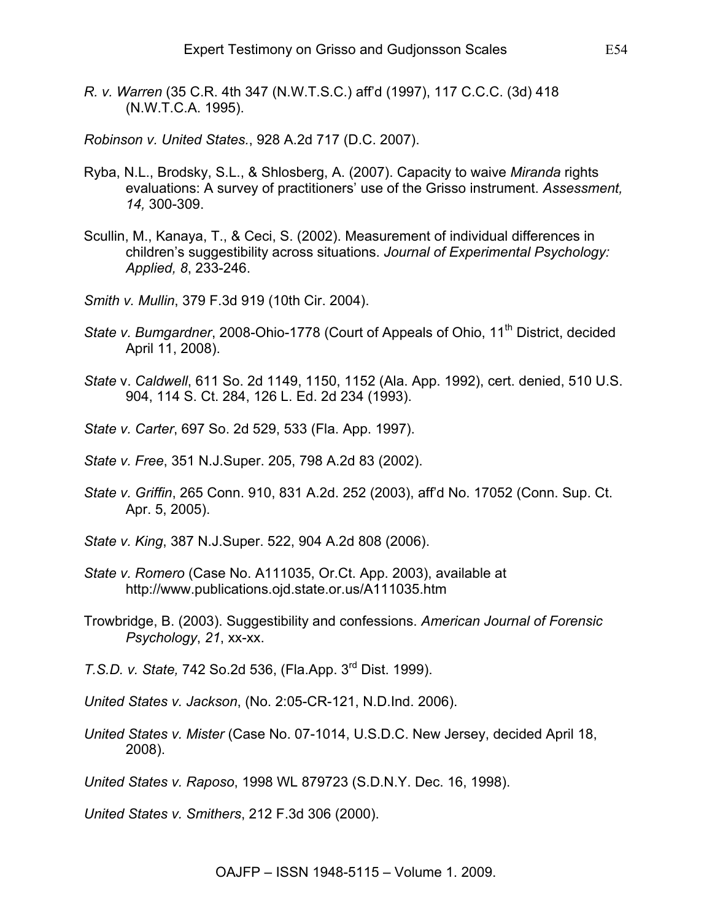*R. v. Warren* (35 C.R. 4th 347 (N.W.T.S.C.) aff'd (1997), 117 C.C.C. (3d) 418 (N.W.T.C.A. 1995).

*Robinson v. United States.*, 928 A.2d 717 (D.C. 2007).

- Ryba, N.L., Brodsky, S.L., & Shlosberg, A. (2007). Capacity to waive *Miranda* rights evaluations: A survey of practitioners' use of the Grisso instrument. *Assessment, 14,* 300-309.
- Scullin, M., Kanaya, T., & Ceci, S. (2002). Measurement of individual differences in children's suggestibility across situations. *Journal of Experimental Psychology: Applied, 8*, 233-246.
- *Smith v. Mullin*, 379 F.3d 919 (10th Cir. 2004).
- *State v. Bumgardner*, 2008-Ohio-1778 (Court of Appeals of Ohio, 11<sup>th</sup> District, decided April 11, 2008).
- *State* v. *Caldwell*, 611 So. 2d 1149, 1150, 1152 (Ala. App. 1992), cert. denied, 510 U.S. 904, 114 S. Ct. 284, 126 L. Ed. 2d 234 (1993).
- *State v. Carter*, 697 So. 2d 529, 533 (Fla. App. 1997).
- *State v. Free*, 351 N.J.Super. 205, 798 A.2d 83 (2002).
- *State v. Griffin*, 265 Conn. 910, 831 A.2d. 252 (2003), aff'd No. 17052 (Conn. Sup. Ct. Apr. 5, 2005).
- *State v. King*, 387 N.J.Super. 522, 904 A.2d 808 (2006).
- *State v. Romero* (Case No. A111035, Or.Ct. App. 2003), available at http://www.publications.ojd.state.or.us/A111035.htm
- Trowbridge, B. (2003). Suggestibility and confessions. *American Journal of Forensic Psychology*, *21*, xx-xx.
- *T.S.D. v. State,* 742 So.2d 536, (Fla.App. 3rd Dist. 1999).
- *United States v. Jackson*, (No. 2:05-CR-121, N.D.Ind. 2006).
- *United States v. Mister* (Case No. 07-1014, U.S.D.C. New Jersey, decided April 18, 2008).
- *United States v. Raposo*, 1998 WL 879723 (S.D.N.Y. Dec. 16, 1998).

*United States v. Smithers*, 212 F.3d 306 (2000).